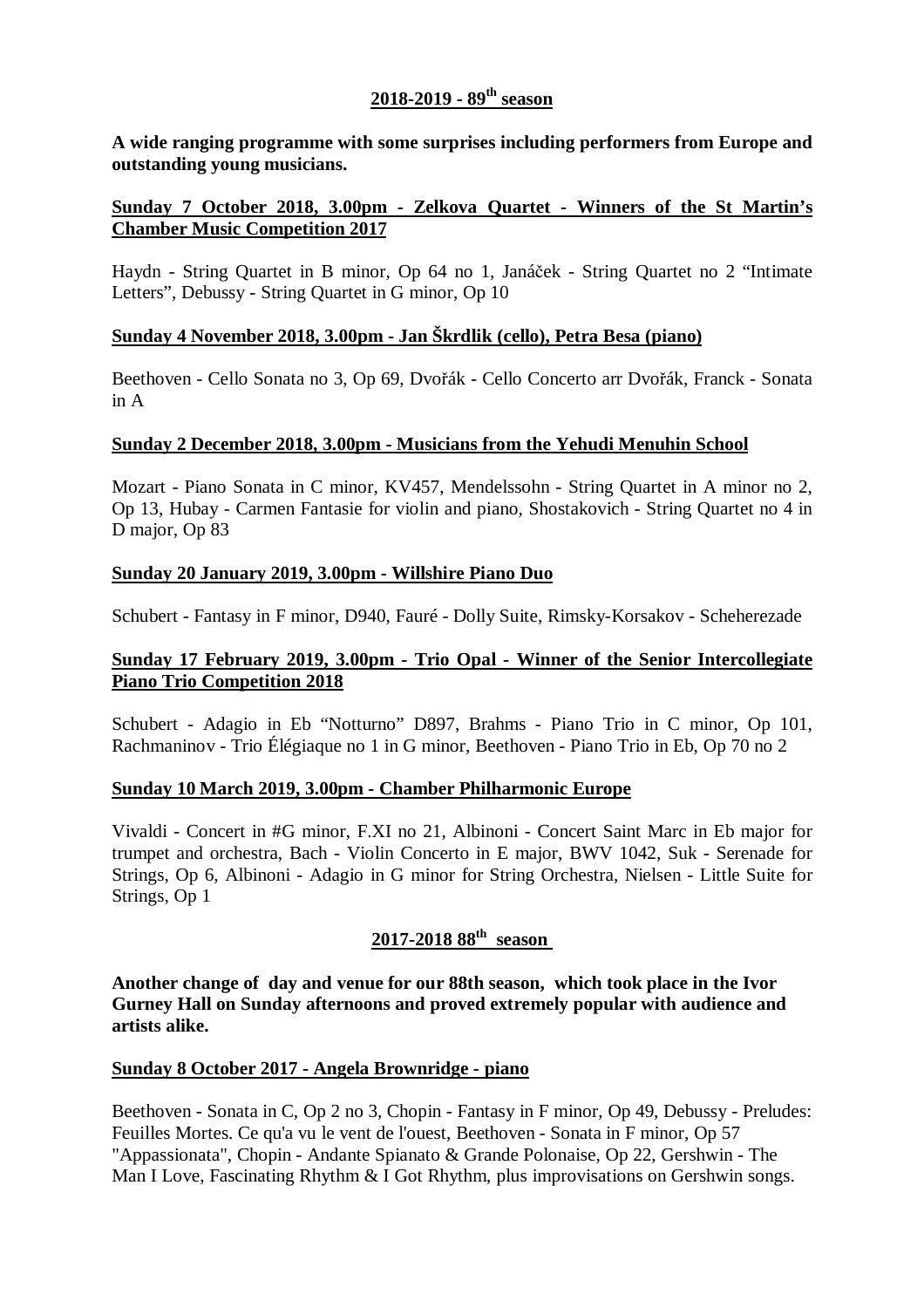## **2018-2019 - 89th season**

**A wide ranging programme with some surprises including performers from Europe and outstanding young musicians.** 

#### **Sunday 7 October 2018, 3.00pm - Zelkova Quartet - Winners of the St Martin's Chamber Music Competition 2017**

Haydn - String Quartet in B minor, Op 64 no 1, Janáček - String Quartet no 2 "Intimate Letters", Debussy - String Quartet in G minor, Op 10

#### **Sunday 4 November 2018, 3.00pm - Jan Škrdlik (cello), Petra Besa (piano)**

Beethoven - Cello Sonata no 3, Op 69, Dvořák - Cello Concerto arr Dvořák, Franck - Sonata in A

#### **Sunday 2 December 2018, 3.00pm - Musicians from the Yehudi Menuhin School**

Mozart - Piano Sonata in C minor, KV457, Mendelssohn - String Quartet in A minor no 2, Op 13, Hubay - Carmen Fantasie for violin and piano, Shostakovich - String Quartet no 4 in D major, Op 83

#### **Sunday 20 January 2019, 3.00pm - Willshire Piano Duo**

Schubert - Fantasy in F minor, D940, Fauré - Dolly Suite, Rimsky-Korsakov - Scheherezade

#### **Sunday 17 February 2019, 3.00pm - Trio Opal - Winner of the Senior Intercollegiate Piano Trio Competition 2018**

Schubert - Adagio in Eb "Notturno" D897, Brahms - Piano Trio in C minor, Op 101, Rachmaninov - Trio Élégiaque no 1 in G minor, Beethoven - Piano Trio in Eb, Op 70 no 2

#### **Sunday 10 March 2019, 3.00pm - Chamber Philharmonic Europe**

Vivaldi - Concert in #G minor, F.XI no 21, Albinoni - Concert Saint Marc in Eb major for trumpet and orchestra, Bach - Violin Concerto in E major, BWV 1042, Suk - Serenade for Strings, Op 6, Albinoni - Adagio in G minor for String Orchestra, Nielsen - Little Suite for Strings, Op 1

# **2017-2018 88th season**

**Another change of day and venue for our 88th season, which took place in the Ivor Gurney Hall on Sunday afternoons and proved extremely popular with audience and artists alike.** 

#### **Sunday 8 October 2017 - Angela Brownridge - piano**

Beethoven - Sonata in C, Op 2 no 3, Chopin - Fantasy in F minor, Op 49, Debussy - Preludes: Feuilles Mortes. Ce qu'a vu le vent de l'ouest, Beethoven - Sonata in F minor, Op 57 "Appassionata", Chopin - Andante Spianato & Grande Polonaise, Op 22, Gershwin - The Man I Love, Fascinating Rhythm & I Got Rhythm, plus improvisations on Gershwin songs.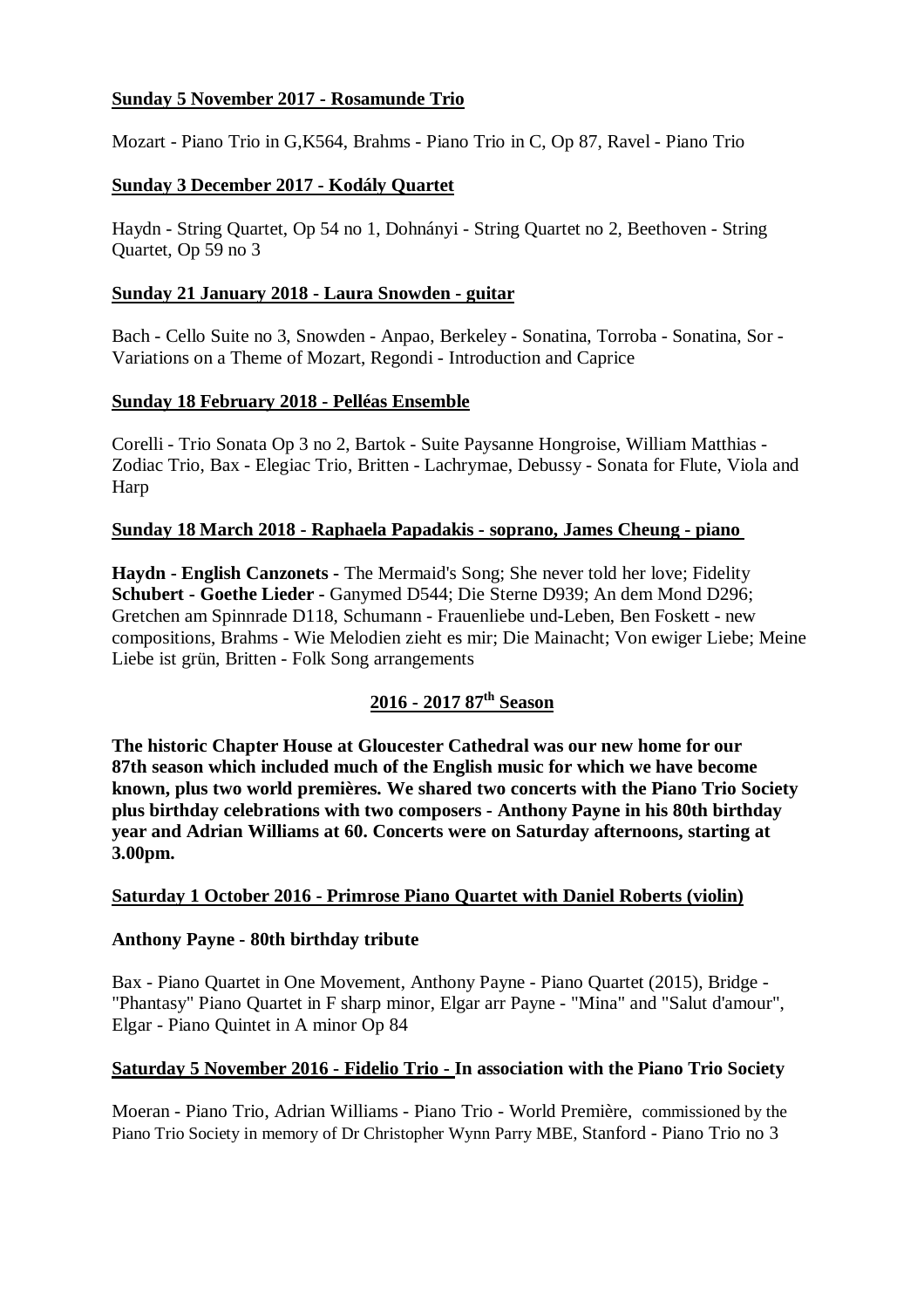## **Sunday 5 November 2017 - Rosamunde Trio**

Mozart - Piano Trio in G,K564, Brahms - Piano Trio in C, Op 87, Ravel - Piano Trio

### **Sunday 3 December 2017 - Kodály Quartet**

Haydn - String Quartet, Op 54 no 1, Dohnányi - String Quartet no 2, Beethoven - String Quartet, Op 59 no 3

#### **Sunday 21 January 2018 - Laura Snowden - guitar**

Bach - Cello Suite no 3, Snowden - Anpao, Berkeley - Sonatina, Torroba - Sonatina, Sor - Variations on a Theme of Mozart, Regondi - Introduction and Caprice

#### **Sunday 18 February 2018 - Pelléas Ensemble**

Corelli - Trio Sonata Op 3 no 2, Bartok - Suite Paysanne Hongroise, William Matthias - Zodiac Trio, Bax - Elegiac Trio, Britten - Lachrymae, Debussy - Sonata for Flute, Viola and **Harp** 

#### **Sunday 18 March 2018 - Raphaela Papadakis - soprano, James Cheung - piano**

**Haydn - English Canzonets -** The Mermaid's Song; She never told her love; Fidelity **Schubert - Goethe Lieder -** Ganymed D544; Die Sterne D939; An dem Mond D296; Gretchen am Spinnrade D118, Schumann - Frauenliebe und-Leben, Ben Foskett - new compositions, Brahms - Wie Melodien zieht es mir; Die Mainacht; Von ewiger Liebe; Meine Liebe ist grün, Britten - Folk Song arrangements

## **2016 - 2017 87th Season**

**The historic Chapter House at Gloucester Cathedral was our new home for our 87th season which included much of the English music for which we have become known, plus two world premières. We shared two concerts with the Piano Trio Society plus birthday celebrations with two composers - Anthony Payne in his 80th birthday year and Adrian Williams at 60. Concerts were on Saturday afternoons, starting at 3.00pm.**

## **Saturday 1 October 2016 - Primrose Piano Quartet with Daniel Roberts (violin)**

#### **Anthony Payne - 80th birthday tribute**

Bax - Piano Quartet in One Movement, Anthony Payne - Piano Quartet (2015), Bridge - "Phantasy" Piano Quartet in F sharp minor, Elgar arr Payne - "Mina" and "Salut d'amour", Elgar - Piano Quintet in A minor Op 84

#### **Saturday 5 November 2016 - Fidelio Trio - In association with the Piano Trio Society**

Moeran - Piano Trio, Adrian Williams - Piano Trio - World Première, commissioned by the Piano Trio Society in memory of Dr Christopher Wynn Parry MBE, Stanford - Piano Trio no 3